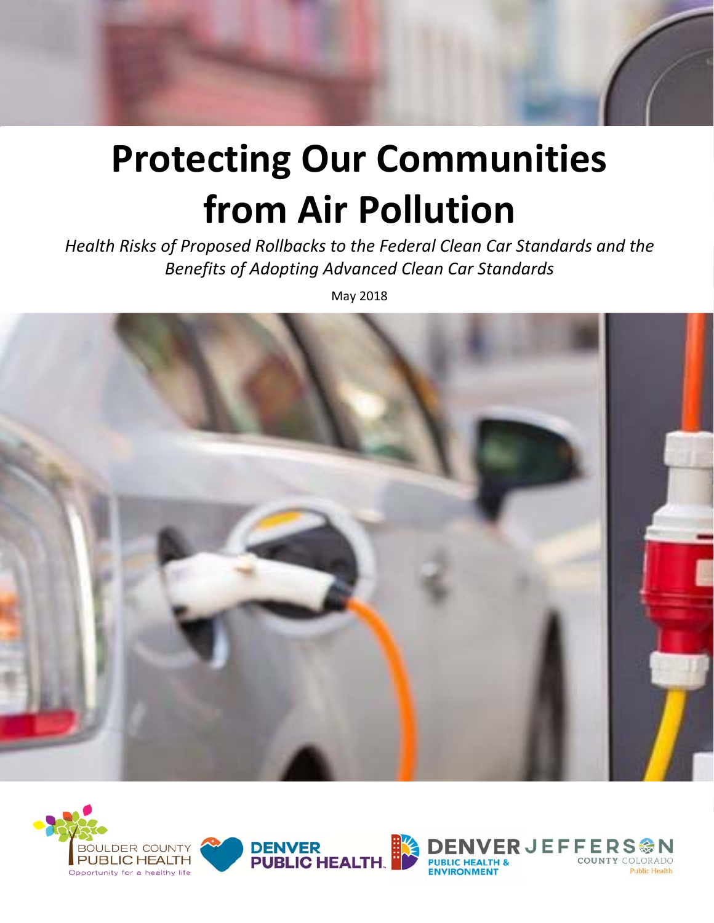# **Protecting Our Communities from Air Pollution**

*Health Risks of Proposed Rollbacks to the Federal Clean Car Standards and the Benefits of Adopting Advanced Clean Car Standards* 

May 2018





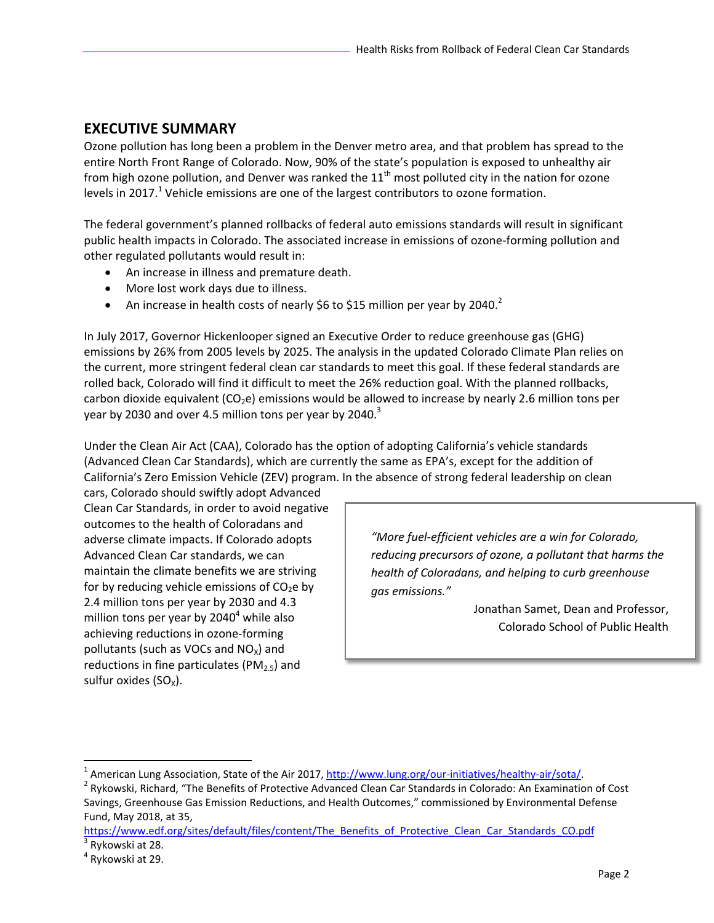## **EXECUTIVE SUMMARY**

Ozone pollution has long been a problem in the Denver metro area, and that problem has spread to the entire North Front Range of Colorado. Now, 90% of the state's population is exposed to unhealthy air from high ozone pollution, and Denver was ranked the  $11<sup>th</sup>$  most polluted city in the nation for ozone levels in 2017.<sup>1</sup> Vehicle emissions are one of the largest contributors to ozone formation.

The federal government's planned rollbacks of federal auto emissions standards will result in significant public health impacts in Colorado. The associated increase in emissions of ozone‐forming pollution and other regulated pollutants would result in:

- An increase in illness and premature death.
- More lost work days due to illness.
- An increase in health costs of nearly \$6 to \$15 million per year by 2040.<sup>2</sup>

In July 2017, Governor Hickenlooper signed an Executive Order to reduce greenhouse gas (GHG) emissions by 26% from 2005 levels by 2025. The analysis in the updated Colorado Climate Plan relies on the current, more stringent federal clean car standards to meet this goal. If these federal standards are rolled back, Colorado will find it difficult to meet the 26% reduction goal. With the planned rollbacks, carbon dioxide equivalent (CO<sub>2</sub>e) emissions would be allowed to increase by nearly 2.6 million tons per year by 2030 and over 4.5 million tons per year by 2040. $3$ 

Under the Clean Air Act (CAA), Colorado has the option of adopting California's vehicle standards (Advanced Clean Car Standards), which are currently the same as EPA's, except for the addition of California's Zero Emission Vehicle (ZEV) program. In the absence of strong federal leadership on clean

cars, Colorado should swiftly adopt Advanced Clean Car Standards, in order to avoid negative outcomes to the health of Coloradans and adverse climate impacts. If Colorado adopts Advanced Clean Car standards, we can maintain the climate benefits we are striving for by reducing vehicle emissions of  $CO<sub>2</sub>e$  by 2.4 million tons per year by 2030 and 4.3 million tons per year by 2040<sup>4</sup> while also achieving reductions in ozone‐forming pollutants (such as VOCs and  $NO<sub>x</sub>$ ) and reductions in fine particulates ( $PM<sub>2.5</sub>$ ) and sulfur oxides  $(SO<sub>x</sub>)$ .

*"More fuel‐efficient vehicles are a win for Colorado, reducing precursors of ozone, a pollutant that harms the health of Coloradans, and helping to curb greenhouse gas emissions."* 

> Jonathan Samet, Dean and Professor, Colorado School of Public Health

<sup>&</sup>lt;sup>1</sup> American Lung Association, State of the Air 2017, http://www.lung.org/our-initiatives/healthy-air/sota/.<br><sup>2</sup> Pulsuuski, Bisbard, "The Penefits of Protective Advanced Clean Car Standards in Colorado: An Evamination

<sup>&</sup>lt;sup>2</sup> Rykowski, Richard, "The Benefits of Protective Advanced Clean Car Standards in Colorado: An Examination of Cost Savings, Greenhouse Gas Emission Reductions, and Health Outcomes," commissioned by Environmental Defense Fund, May 2018, at 35,

https://www.edf.org/sites/default/files/content/The\_Benefits\_of\_Protective\_Clean\_Car\_Standards\_CO.pdf  $3$  Rykowski at 28.

<sup>4</sup> Rykowski at 29.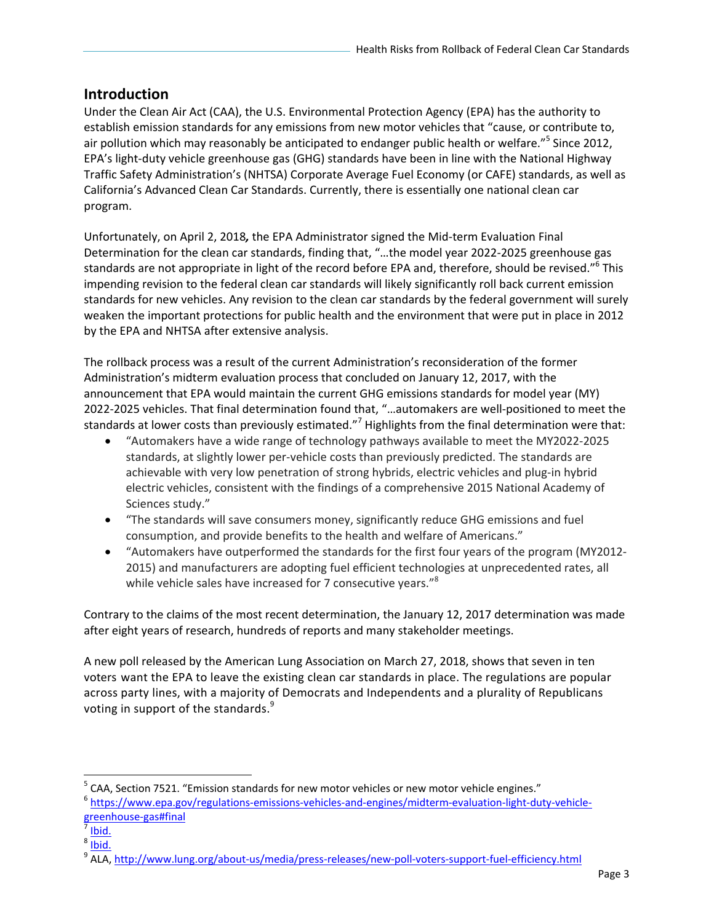### **Introduction**

Under the Clean Air Act (CAA), the U.S. Environmental Protection Agency (EPA) has the authority to establish emission standards for any emissions from new motor vehicles that "cause, or contribute to, air pollution which may reasonably be anticipated to endanger public health or welfare."<sup>5</sup> Since 2012, EPA's light‐duty vehicle greenhouse gas (GHG) standards have been in line with the National Highway Traffic Safety Administration's (NHTSA) Corporate Average Fuel Economy (or CAFE) standards, as well as California's Advanced Clean Car Standards. Currently, there is essentially one national clean car program.

Unfortunately, on April 2, 2018*,* the EPA Administrator signed the Mid‐term Evaluation Final Determination for the clean car standards, finding that, "…the model year 2022‐2025 greenhouse gas standards are not appropriate in light of the record before EPA and, therefore, should be revised."<sup>6</sup> This impending revision to the federal clean car standards will likely significantly roll back current emission standards for new vehicles. Any revision to the clean car standards by the federal government will surely weaken the important protections for public health and the environment that were put in place in 2012 by the EPA and NHTSA after extensive analysis.

The rollback process was a result of the current Administration's reconsideration of the former Administration's midterm evaluation process that concluded on January 12, 2017, with the announcement that EPA would maintain the current GHG emissions standards for model year (MY) 2022‐2025 vehicles. That final determination found that, "…automakers are well‐positioned to meet the standards at lower costs than previously estimated."<sup>7</sup> Highlights from the final determination were that:

- "Automakers have a wide range of technology pathways available to meet the MY2022‐2025 standards, at slightly lower per‐vehicle costs than previously predicted. The standards are achievable with very low penetration of strong hybrids, electric vehicles and plug‐in hybrid electric vehicles, consistent with the findings of a comprehensive 2015 National Academy of Sciences study."
- "The standards will save consumers money, significantly reduce GHG emissions and fuel consumption, and provide benefits to the health and welfare of Americans."
- "Automakers have outperformed the standards for the first four years of the program (MY2012‐ 2015) and manufacturers are adopting fuel efficient technologies at unprecedented rates, all while vehicle sales have increased for 7 consecutive years."<sup>8</sup>

Contrary to the claims of the most recent determination, the January 12, 2017 determination was made after eight years of research, hundreds of reports and many stakeholder meetings.

A new poll released by the American Lung Association on March 27, 2018, shows that seven in ten voters want the EPA to leave the existing clean car standards in place. The regulations are popular across party lines, with a majority of Democrats and Independents and a plurality of Republicans voting in support of the standards. $9$ 

 $5$  CAA, Section 7521. "Emission standards for new motor vehicles or new motor vehicle engines."

<sup>&</sup>lt;sup>6</sup> https://www.epa.gov/regulations-emissions-vehicles-and-engines/midterm-evaluation-light-duty-vehiclegreenhouse‐gas#final

 $\frac{1}{7}$  Ibid.

<sup>&</sup>lt;sup>8</sup> Ibid.

<sup>&</sup>lt;sup>9</sup> ALA, <u>http://www.lung.org/about-us/media/press-releases/new-poll-voters-support-fuel-efficiency.html</u>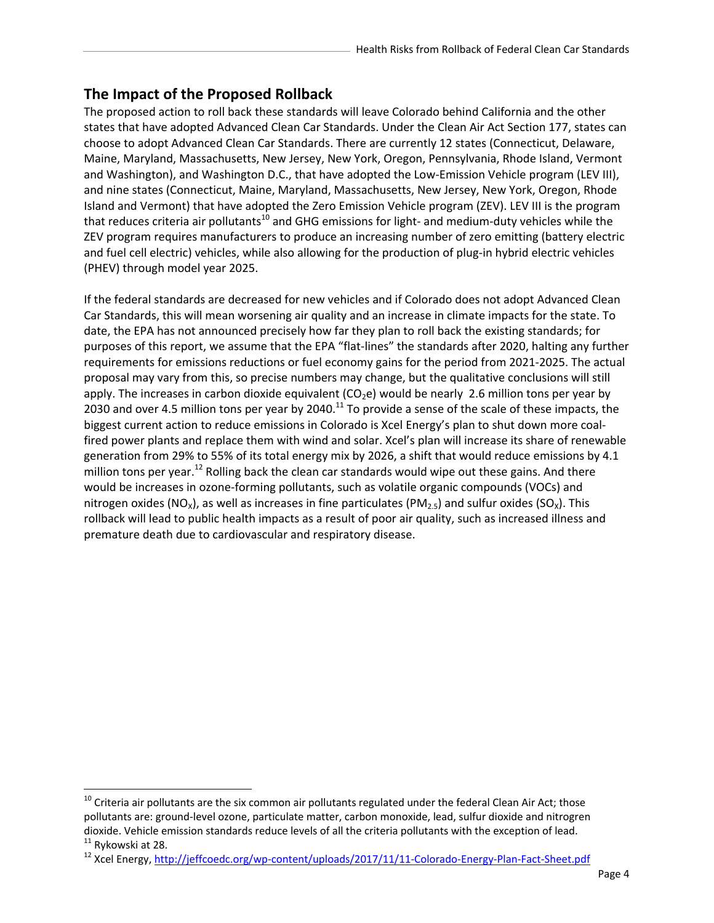## **The Impact of the Proposed Rollback**

The proposed action to roll back these standards will leave Colorado behind California and the other states that have adopted Advanced Clean Car Standards. Under the Clean Air Act Section 177, states can choose to adopt Advanced Clean Car Standards. There are currently 12 states (Connecticut, Delaware, Maine, Maryland, Massachusetts, New Jersey, New York, Oregon, Pennsylvania, Rhode Island, Vermont and Washington), and Washington D.C., that have adopted the Low-Emission Vehicle program (LEV III), and nine states (Connecticut, Maine, Maryland, Massachusetts, New Jersey, New York, Oregon, Rhode Island and Vermont) that have adopted the Zero Emission Vehicle program (ZEV). LEV III is the program that reduces criteria air pollutants<sup>10</sup> and GHG emissions for light- and medium-duty vehicles while the ZEV program requires manufacturers to produce an increasing number of zero emitting (battery electric and fuel cell electric) vehicles, while also allowing for the production of plug-in hybrid electric vehicles (PHEV) through model year 2025.

If the federal standards are decreased for new vehicles and if Colorado does not adopt Advanced Clean Car Standards, this will mean worsening air quality and an increase in climate impacts for the state. To date, the EPA has not announced precisely how far they plan to roll back the existing standards; for purposes of this report, we assume that the EPA "flat‐lines" the standards after 2020, halting any further requirements for emissions reductions or fuel economy gains for the period from 2021‐2025. The actual proposal may vary from this, so precise numbers may change, but the qualitative conclusions will still apply. The increases in carbon dioxide equivalent  $(CO<sub>2</sub>e)$  would be nearly 2.6 million tons per year by 2030 and over 4.5 million tons per year by 2040.<sup>11</sup> To provide a sense of the scale of these impacts, the biggest current action to reduce emissions in Colorado is Xcel Energy's plan to shut down more coalfired power plants and replace them with wind and solar. Xcel's plan will increase its share of renewable generation from 29% to 55% of its total energy mix by 2026, a shift that would reduce emissions by 4.1 million tons per year.<sup>12</sup> Rolling back the clean car standards would wipe out these gains. And there would be increases in ozone-forming pollutants, such as volatile organic compounds (VOCs) and nitrogen oxides (NO<sub>x</sub>), as well as increases in fine particulates (PM<sub>2.5</sub>) and sulfur oxides (SO<sub>x</sub>). This rollback will lead to public health impacts as a result of poor air quality, such as increased illness and premature death due to cardiovascular and respiratory disease.

 $^{10}$  Criteria air pollutants are the six common air pollutants regulated under the federal Clean Air Act; those pollutants are: ground‐level ozone, particulate matter, carbon monoxide, lead, sulfur dioxide and nitrogren dioxide. Vehicle emission standards reduce levels of all the criteria pollutants with the exception of lead.<br><sup>11</sup> Rykowski at 28.

<sup>&</sup>lt;sup>12</sup> Xcel Energy, http://jeffcoedc.org/wp-content/uploads/2017/11/11-Colorado-Energy-Plan-Fact-Sheet.pdf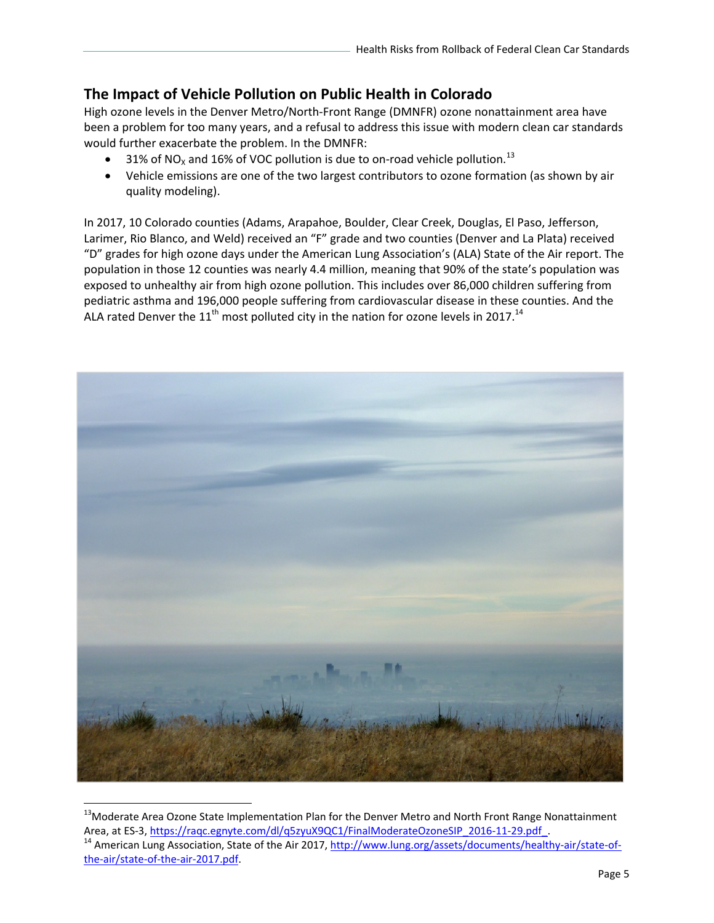## **The Impact of Vehicle Pollution on Public Health in Colorado**

High ozone levels in the Denver Metro/North‐Front Range (DMNFR) ozone nonattainment area have been a problem for too many years, and a refusal to address this issue with modern clean car standards would further exacerbate the problem. In the DMNFR:

- 31% of NO<sub>x</sub> and 16% of VOC pollution is due to on-road vehicle pollution.<sup>13</sup>
- Vehicle emissions are one of the two largest contributors to ozone formation (as shown by air quality modeling).

In 2017, 10 Colorado counties (Adams, Arapahoe, Boulder, Clear Creek, Douglas, El Paso, Jefferson, Larimer, Rio Blanco, and Weld) received an "F" grade and two counties (Denver and La Plata) received "D" grades for high ozone days under the American Lung Association's (ALA) State of the Air report. The population in those 12 counties was nearly 4.4 million, meaning that 90% of the state's population was exposed to unhealthy air from high ozone pollution. This includes over 86,000 children suffering from pediatric asthma and 196,000 people suffering from cardiovascular disease in these counties. And the ALA rated Denver the  $11<sup>th</sup>$  most polluted city in the nation for ozone levels in 2017.<sup>14</sup>



<sup>&</sup>lt;sup>13</sup>Moderate Area Ozone State Implementation Plan for the Denver Metro and North Front Range Nonattainment<br>Area, at ES-3, https://raqc.egnyte.com/dl/q5zyuX9QC1/FinalModerateOzoneSIP 2016-11-29.pdf. <sup>14</sup> American Lung Association, State of the Air 2017, http://www.lung.org/assets/documents/healthy-air/state-ofthe-air/state-of-the-air-2017.pdf.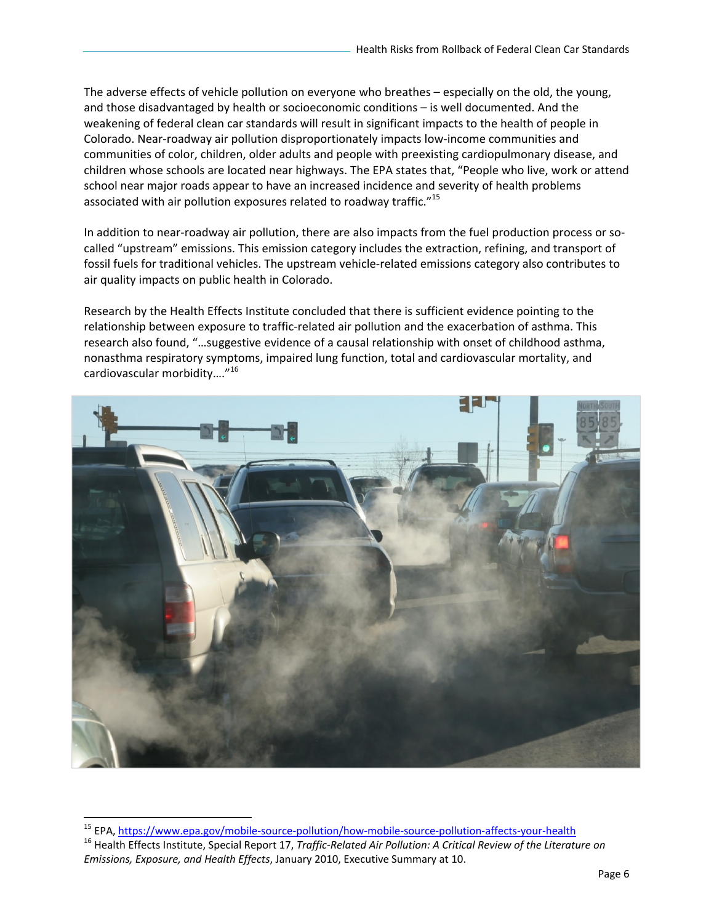The adverse effects of vehicle pollution on everyone who breathes – especially on the old, the young, and those disadvantaged by health or socioeconomic conditions – is well documented. And the weakening of federal clean car standards will result in significant impacts to the health of people in Colorado. Near‐roadway air pollution disproportionately impacts low‐income communities and communities of color, children, older adults and people with preexisting cardiopulmonary disease, and children whose schools are located near highways. The EPA states that, "People who live, work or attend school near major roads appear to have an increased incidence and severity of health problems associated with air pollution exposures related to roadway traffic."<sup>15</sup>

In addition to near-roadway air pollution, there are also impacts from the fuel production process or socalled "upstream" emissions. This emission category includes the extraction, refining, and transport of fossil fuels for traditional vehicles. The upstream vehicle‐related emissions category also contributes to air quality impacts on public health in Colorado.

Research by the Health Effects Institute concluded that there is sufficient evidence pointing to the relationship between exposure to traffic‐related air pollution and the exacerbation of asthma. This research also found, "…suggestive evidence of a causal relationship with onset of childhood asthma, nonasthma respiratory symptoms, impaired lung function, total and cardiovascular mortality, and cardiovascular morbidity…."<sup>16</sup>



<sup>&</sup>lt;sup>15</sup> EPA, https://www.epa.gov/mobile-source-pollution/how-mobile-source-pollution-affects-your-health<br><sup>16</sup> Health Effects Institute, Special Report 17, *Traffic-Related Air Pollution: A Critical Review of the Literature on* 

*Emissions, Exposure, and Health Effects*, January 2010, Executive Summary at 10.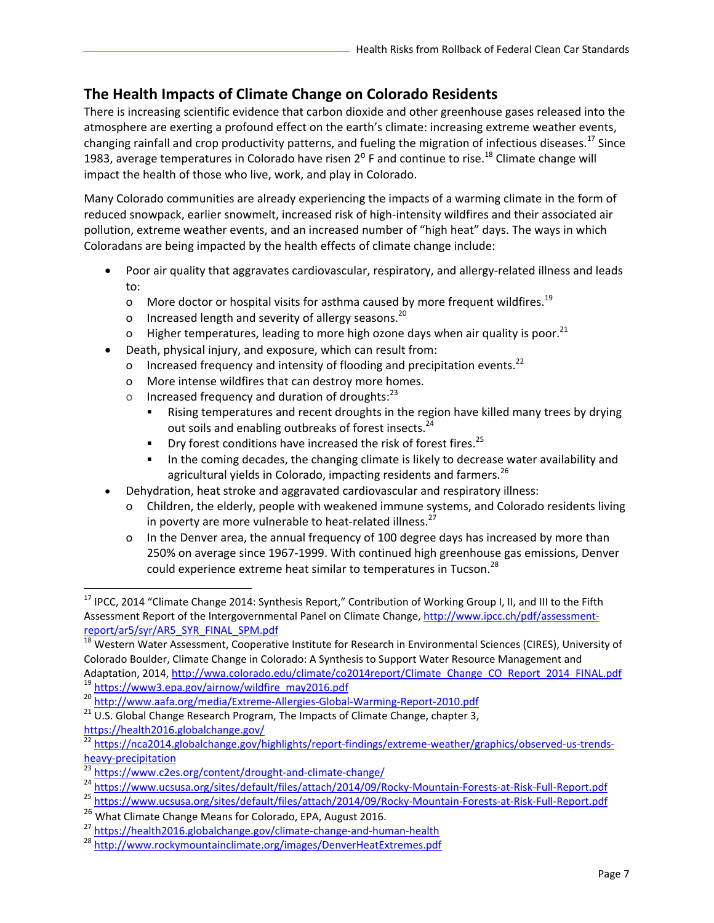# **The Health Impacts of Climate Change on Colorado Residents**

There is increasing scientific evidence that carbon dioxide and other greenhouse gases released into the atmosphere are exerting a profound effect on the earth's climate: increasing extreme weather events, changing rainfall and crop productivity patterns, and fueling the migration of infectious diseases.<sup>17</sup> Since 1983, average temperatures in Colorado have risen  $2^{\circ}$  F and continue to rise.<sup>18</sup> Climate change will impact the health of those who live, work, and play in Colorado.

Many Colorado communities are already experiencing the impacts of a warming climate in the form of reduced snowpack, earlier snowmelt, increased risk of high‐intensity wildfires and their associated air pollution, extreme weather events, and an increased number of "high heat" days. The ways in which Coloradans are being impacted by the health effects of climate change include:

- Poor air quality that aggravates cardiovascular, respiratory, and allergy-related illness and leads to:
	- o More doctor or hospital visits for asthma caused by more frequent wildfires.<sup>19</sup>
	- o Increased length and severity of allergy seasons.<sup>20</sup>
	- o Higher temperatures, leading to more high ozone days when air quality is poor.<sup>21</sup>
- Death, physical injury, and exposure, which can result from:
	- o Increased frequency and intensity of flooding and precipitation events.<sup>22</sup>
	- o More intense wildfires that can destroy more homes.
	- o Increased frequency and duration of droughts: $^{23}$ 
		- Rising temperatures and recent droughts in the region have killed many trees by drying out soils and enabling outbreaks of forest insects.<sup>24</sup>
		- Dry forest conditions have increased the risk of forest fires.<sup>25</sup>
		- In the coming decades, the changing climate is likely to decrease water availability and agricultural yields in Colorado, impacting residents and farmers.<sup>26</sup>
- Dehydration, heat stroke and aggravated cardiovascular and respiratory illness:
	- o Children, the elderly, people with weakened immune systems, and Colorado residents living in poverty are more vulnerable to heat-related illness. $^{27}$
	- o In the Denver area, the annual frequency of 100 degree days has increased by more than 250% on average since 1967‐1999. With continued high greenhouse gas emissions, Denver could experience extreme heat similar to temperatures in Tucson.<sup>28</sup>

https://health2016.globalchange.gov/

<sup>&</sup>lt;sup>17</sup> IPCC, 2014 "Climate Change 2014: Synthesis Report," Contribution of Working Group I, II, and III to the Fifth Assessment Report of the Intergovernmental Panel on Climate Change, http://www.ipcc.ch/pdf/assessment‐ report/ar5/syr/AR5\_SYR\_FINAL\_SPM.pdf

<sup>&</sup>lt;sup>18</sup> Western Water Assessment, Cooperative Institute for Research in Environmental Sciences (CIRES), University of Colorado Boulder, Climate Change in Colorado: A Synthesis to Support Water Resource Management and<br>Adaptation, 2014, http://wwa.colorado.edu/climate/co2014report/Climate Change CO Report 2014 FINAL.pdf

<sup>&</sup>lt;sup>19</sup> https://www3.epa.gov/airnow/wildfire\_may2016.pdf<br>
<sup>20</sup> http://www.aafa.org/media/Extreme-Allergies-Global-Warming-Report-2010.pdf<br>
<sup>21</sup> U.S. Global Change Research Program, The Impacts of Climate Change, chapter 3,

<sup>&</sup>lt;sup>22</sup> https://nca2014.globalchange.gov/highlights/report-findings/extreme-weather/graphics/observed-us-trendsheavy-precipitation<br> $\frac{1}{23}$  https://www.c2es.org/content/drought-and-climate-change/

<sup>&</sup>lt;sup>24</sup> https://www.ucsusa.org/sites/default/files/attach/2014/09/Rocky-Mountain-Forests-at-Risk-Full-Report.pdf<br><sup>25</sup> https://www.ucsusa.org/sites/default/files/attach/2014/09/Rocky-Mountain-Forests-at-Risk-Full-Report.pdf

<sup>&</sup>lt;sup>26</sup> What Climate Change Means for Colorado, EPA, August 2016.<br><sup>27</sup> https://health2016.globalchange.gov/climate-change-and-human-health

<sup>28</sup> http://www.rockymountainclimate.org/images/DenverHeatExtremes.pdf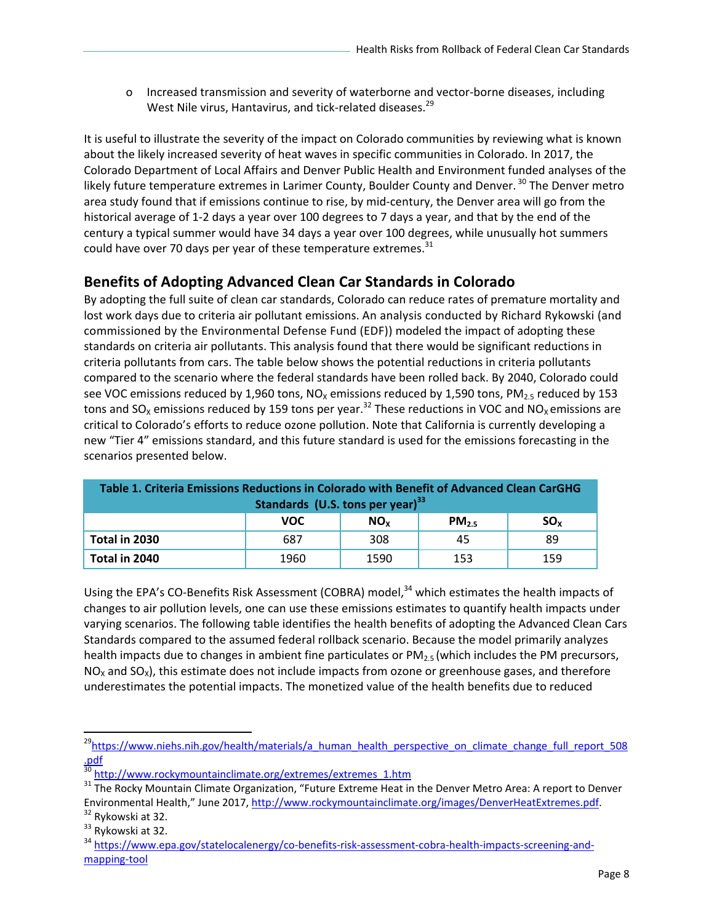o Increased transmission and severity of waterborne and vector‐borne diseases, including West Nile virus, Hantavirus, and tick-related diseases.<sup>29</sup>

It is useful to illustrate the severity of the impact on Colorado communities by reviewing what is known about the likely increased severity of heat waves in specific communities in Colorado. In 2017, the Colorado Department of Local Affairs and Denver Public Health and Environment funded analyses of the likely future temperature extremes in Larimer County, Boulder County and Denver.<sup>30</sup> The Denver metro area study found that if emissions continue to rise, by mid‐century, the Denver area will go from the historical average of 1‐2 days a year over 100 degrees to 7 days a year, and that by the end of the century a typical summer would have 34 days a year over 100 degrees, while unusually hot summers could have over 70 days per year of these temperature extremes. $31$ 

#### **Benefits of Adopting Advanced Clean Car Standards in Colorado**

By adopting the full suite of clean car standards, Colorado can reduce rates of premature mortality and lost work days due to criteria air pollutant emissions. An analysis conducted by Richard Rykowski (and commissioned by the Environmental Defense Fund (EDF)) modeled the impact of adopting these standards on criteria air pollutants. This analysis found that there would be significant reductions in criteria pollutants from cars. The table below shows the potential reductions in criteria pollutants compared to the scenario where the federal standards have been rolled back. By 2040, Colorado could see VOC emissions reduced by 1,960 tons, NO<sub>x</sub> emissions reduced by 1,590 tons, PM<sub>2.5</sub> reduced by 153 tons and SO<sub>X</sub> emissions reduced by 159 tons per year.<sup>32</sup> These reductions in VOC and NO<sub>X</sub> emissions are critical to Colorado's efforts to reduce ozone pollution. Note that California is currently developing a new "Tier 4" emissions standard, and this future standard is used for the emissions forecasting in the scenarios presented below.

| Table 1. Criteria Emissions Reductions in Colorado with Benefit of Advanced Clean CarGHG<br>Standards (U.S. tons per year) $^{33}$ |            |                 |           |          |  |  |  |
|------------------------------------------------------------------------------------------------------------------------------------|------------|-----------------|-----------|----------|--|--|--|
|                                                                                                                                    | <b>VOC</b> | NO <sub>v</sub> | $PM_{25}$ | $SO_{x}$ |  |  |  |
| Total in 2030                                                                                                                      | 687        | 308             | 45        | 89       |  |  |  |
| Total in 2040                                                                                                                      | 1960       | 1590            | 153       | 159      |  |  |  |

Using the EPA's CO-Benefits Risk Assessment (COBRA) model,<sup>34</sup> which estimates the health impacts of changes to air pollution levels, one can use these emissions estimates to quantify health impacts under varying scenarios. The following table identifies the health benefits of adopting the Advanced Clean Cars Standards compared to the assumed federal rollback scenario. Because the model primarily analyzes health impacts due to changes in ambient fine particulates or  $PM<sub>25</sub>$  (which includes the PM precursors,  $NO<sub>x</sub>$  and  $SO<sub>x</sub>$ ), this estimate does not include impacts from ozone or greenhouse gases, and therefore underestimates the potential impacts. The monetized value of the health benefits due to reduced

<sup>&</sup>lt;sup>29</sup>https://www.niehs.nih.gov/health/materials/a\_human\_health\_perspective\_on\_climate\_change\_full\_report\_508 .pdf<br><sup>30</sup> http://www.rockymountainclimate.org/extremes/extremes 1.htm

<sup>&</sup>lt;sup>31</sup> The Rocky Mountain Climate Organization, "Future Extreme Heat in the Denver Metro Area: A report to Denver Environmental Health," June 2017, http://www.rockymountainclimate.org/images/DenverHeatExtremes.pdf. 32 Rykowski at 32.

 $33$  Rykowski at 32.

<sup>34</sup> https://www.epa.gov/statelocalenergy/co-benefits-risk-assessment-cobra-health-impacts-screening-andmapping‐tool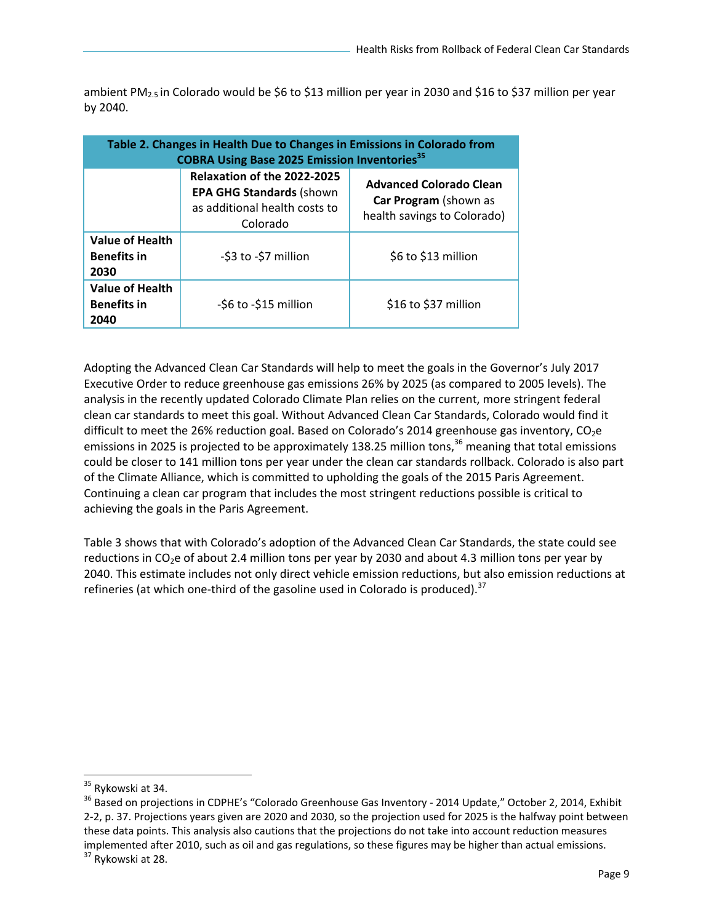ambient PM<sub>2.5</sub> in Colorado would be \$6 to \$13 million per year in 2030 and \$16 to \$37 million per year by 2040.

| Table 2. Changes in Health Due to Changes in Emissions in Colorado from<br><b>COBRA Using Base 2025 Emission Inventories</b> <sup>35</sup> |                                                                                                             |                                                                                        |  |  |  |
|--------------------------------------------------------------------------------------------------------------------------------------------|-------------------------------------------------------------------------------------------------------------|----------------------------------------------------------------------------------------|--|--|--|
|                                                                                                                                            | Relaxation of the 2022-2025<br><b>EPA GHG Standards (shown</b><br>as additional health costs to<br>Colorado | <b>Advanced Colorado Clean</b><br>Car Program (shown as<br>health savings to Colorado) |  |  |  |
| <b>Value of Health</b><br><b>Benefits in</b><br>2030                                                                                       | -\$3 to -\$7 million                                                                                        | \$6 to \$13 million                                                                    |  |  |  |
| <b>Value of Health</b><br><b>Benefits in</b><br>2040                                                                                       | -\$6 to -\$15 million                                                                                       | \$16 to \$37 million                                                                   |  |  |  |

Adopting the Advanced Clean Car Standards will help to meet the goals in the Governor's July 2017 Executive Order to reduce greenhouse gas emissions 26% by 2025 (as compared to 2005 levels). The analysis in the recently updated Colorado Climate Plan relies on the current, more stringent federal clean car standards to meet this goal. Without Advanced Clean Car Standards, Colorado would find it difficult to meet the 26% reduction goal. Based on Colorado's 2014 greenhouse gas inventory, CO<sub>2</sub>e emissions in 2025 is projected to be approximately 138.25 million tons,  $36$  meaning that total emissions could be closer to 141 million tons per year under the clean car standards rollback. Colorado is also part of the Climate Alliance, which is committed to upholding the goals of the 2015 Paris Agreement. Continuing a clean car program that includes the most stringent reductions possible is critical to achieving the goals in the Paris Agreement.

Table 3 shows that with Colorado's adoption of the Advanced Clean Car Standards, the state could see reductions in CO<sub>2</sub>e of about 2.4 million tons per year by 2030 and about 4.3 million tons per year by 2040. This estimate includes not only direct vehicle emission reductions, but also emission reductions at refineries (at which one-third of the gasoline used in Colorado is produced). $37$ 

 <sup>35</sup> Rykowski at 34.

<sup>&</sup>lt;sup>36</sup> Based on projections in CDPHE's "Colorado Greenhouse Gas Inventory - 2014 Update," October 2, 2014, Exhibit 2‐2, p. 37. Projections years given are 2020 and 2030, so the projection used for 2025 is the halfway point between these data points. This analysis also cautions that the projections do not take into account reduction measures implemented after 2010, such as oil and gas regulations, so these figures may be higher than actual emissions.<br>
<sup>37</sup> Rykowski at 28.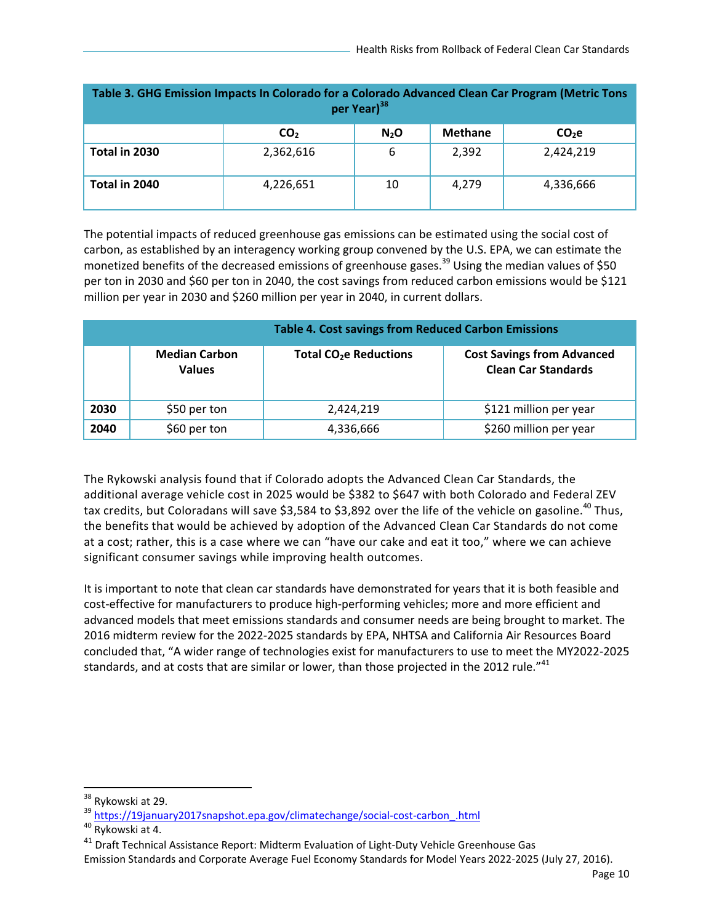| Table 3. GHG Emission Impacts In Colorado for a Colorado Advanced Clean Car Program (Metric Tons<br>per Year) <sup>38</sup> |                 |                  |                |           |  |  |
|-----------------------------------------------------------------------------------------------------------------------------|-----------------|------------------|----------------|-----------|--|--|
|                                                                                                                             | CO <sub>2</sub> | N <sub>2</sub> O | <b>Methane</b> | $CO2$ e   |  |  |
| Total in 2030                                                                                                               | 2,362,616       | 6                | 2,392          | 2,424,219 |  |  |
| Total in 2040                                                                                                               | 4,226,651       | 10               | 4,279          | 4,336,666 |  |  |

The potential impacts of reduced greenhouse gas emissions can be estimated using the social cost of carbon, as established by an interagency working group convened by the U.S. EPA, we can estimate the monetized benefits of the decreased emissions of greenhouse gases.<sup>39</sup> Using the median values of \$50 per ton in 2030 and \$60 per ton in 2040, the cost savings from reduced carbon emissions would be \$121 million per year in 2030 and \$260 million per year in 2040, in current dollars.

|      |                                       | <b>Table 4. Cost savings from Reduced Carbon Emissions</b> |                                                                 |  |  |
|------|---------------------------------------|------------------------------------------------------------|-----------------------------------------------------------------|--|--|
|      | <b>Median Carbon</b><br><b>Values</b> | <b>Total CO<sub>2</sub>e Reductions</b>                    | <b>Cost Savings from Advanced</b><br><b>Clean Car Standards</b> |  |  |
| 2030 | \$50 per ton                          | 2,424,219                                                  | \$121 million per year                                          |  |  |
| 2040 | \$60 per ton                          | 4,336,666                                                  | \$260 million per year                                          |  |  |

The Rykowski analysis found that if Colorado adopts the Advanced Clean Car Standards, the additional average vehicle cost in 2025 would be \$382 to \$647 with both Colorado and Federal ZEV tax credits, but Coloradans will save \$3,584 to \$3,892 over the life of the vehicle on gasoline.<sup>40</sup> Thus, the benefits that would be achieved by adoption of the Advanced Clean Car Standards do not come at a cost; rather, this is a case where we can "have our cake and eat it too," where we can achieve significant consumer savings while improving health outcomes.

It is important to note that clean car standards have demonstrated for years that it is both feasible and cost‐effective for manufacturers to produce high‐performing vehicles; more and more efficient and advanced models that meet emissions standards and consumer needs are being brought to market. The 2016 midterm review for the 2022‐2025 standards by EPA, NHTSA and California Air Resources Board concluded that, "A wider range of technologies exist for manufacturers to use to meet the MY2022‐2025 standards, and at costs that are similar or lower, than those projected in the 2012 rule."<sup>41</sup>

 <sup>38</sup> Rykowski at 29.

<sup>&</sup>lt;sup>39</sup> https://19january2017snapshot.epa.gov/climatechange/social-cost-carbon\_.html<br><sup>40</sup> Rykowski at 4.

<sup>&</sup>lt;sup>41</sup> Draft Technical Assistance Report: Midterm Evaluation of Light-Duty Vehicle Greenhouse Gas

Emission Standards and Corporate Average Fuel Economy Standards for Model Years 2022‐2025 (July 27, 2016).